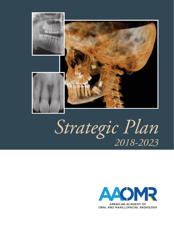

# *Strategic Plan 2018-2023*



AMERICAN ACADEMY OF ORAL AND MAXILLOFACIAL RADIOLOGY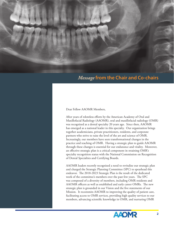

## *Message* **from the Chair and Co-chairs**

Dear Fellow AAOMR Members,

After years of relentless efforts by the American Academy of Oral and Maxillofacial Radiology (AAOMR), oral and maxillofacial radiology (OMR) was recognized as a dental specialty 20 years ago. Since then, AAOMR has emerged as a national leader in this specialty. Our organization brings together academicians, private practitioners, residents, and corporate partners who strive to raise the level of the art and science of OMR. Increasingly, our members have seen transformational changes in the practice and teaching of OMR. Having a strategic plan to guide AAOMR through these changes is essential for our endurance and vitality. Moreover, an effective strategic plan is a critical component in retaining OMR's specialty recognition status with the National Commission on Recognition of Dental Specialties and Certifying Boards.

AAOMR leaders recently recognized a need to revitalize our strategic plan and charged the Strategic Planning Committee (SPC) to spearhead this endeavor. The 2018-2023 Strategic Plan is the result of the dedicated work of the committee's members over the past few years. The SPC was composed of a diversity of members, including OMR residents and AAOMR officers as well as established and early career OMRs. The new strategic plan is grounded in our Vision and the five statements of our Mission. It recommits AAOMR to improving the quality of patient care, facilitating access to OMR services, providing high quality services to our members, advancing scientific knowledge in OMR, and nurturing OMR

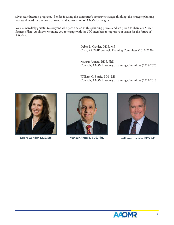advanced education programs. Besides focusing the committee's proactive strategic thinking, the strategic planning process allowed for discovery of trends and appreciation of AAOMR strengths.

We are incredibly grateful to everyone who participated in this planning process and are proud to share our 5-year Strategic Plan. As always, we invite you to engage with the SPC members to express your vision for the future of AAOMR.

> Debra L. Gander, DDS, MS Chair, AAOMR Strategic Planning Committee (2017-2020)

Mansur Ahmad, BDS, PhD Co-chair, AAOMR Strategic Planning Committee (2018-2020)

William C. Scarfe, BDS, MS Co-chair, AAOMR Strategic Planning Committee (2017-2018)



**Debra Gander, DDS, MS**



**Mansur Ahmad, BDS, PhD William C. Scarfe, BDS, MS**



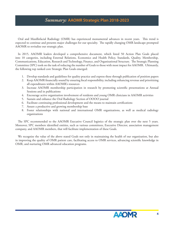#### *Summary:* **AAOMR Strategic Plan 2018-2023**

Oral and Maxillofacial Radiology (OMR) has experienced monumental advances in recent years. This trend is expected to continue and presents major challenges for our specialty. The rapidly changing OMR landscape prompted AAOMR to revitalize our strategic plan.

In 2015, AAOMR leaders developed a comprehensive document, which listed 50 Action Plan Goals placed into 10 categories, including External Relations, Economics and Health Policy, Standards, Quality, Membership, Communications, Education, Research and Technology, Finance, and Organizational Structure. The Strategic Planning Committee (SPC) took on the task of reducing the number of Goals to those with most impact for AAOMR. Ultimately, the following top ranked core Strategic Plan Goals emerged:

- 1. Develop standards and guidelines for quality practice and express these through publication of position papers
- 2. Keep AAOMR financially sound by ensuring fiscal responsibility, including enhancing revenue and prioritizing all expenditures within AAOMR's resources
- 3. Increase AAOMR membership participation in research by promoting scientific presentations at Annual Sessions and in publications
- 4. Encourage active organization involvement of residents and young OMR clinicians in AAOMR activities
- 5. Sustain and enhance the Oral Radiology Section of OOOO journal
- 6. Facilitate continuing professional development and the means to maintain certifications
- 7. Assure a productive and growing membership base
- 8. Foster relationships with national and international OMR organizations, as well as medical radiology organizations

The SPC recommended to the AAOMR Executive Council logistics of the strategic plan over the next 5 years. Moreover, SPC members identified entities, such as various committees, Executive Director, association management company, and AAOMR members, that will facilitate implementation of these Goals.

We recognize the value of the above stated Goals not only in maintaining the health of our organization, but also in improving the quality of OMR patient care, facilitating access to OMR services, advancing scientific knowledge in OMR, and nurturing OMR advanced education programs.

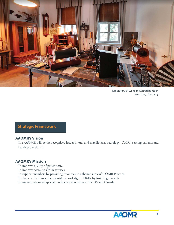

Laboratory of Wilhelm Conrad Röntgen Wurzburg, Germany

## **Strategic Framework**

#### **AAOMR's Vision**

The AAOMR will be the recognized leader in oral and maxillofacial radiology (OMR), serving patients and health professionals.

#### **AAOMR's Mission**

- To improve quality of patient care
- To improve access to OMR services
- To support members by providing resources to enhance successful OMR Practice
- To shape and advance the scientific knowledge in OMR by fostering research
- To nurture advanced specialty residency education in the US and Canada

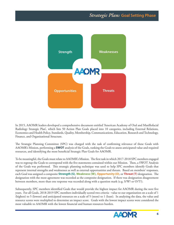

In 2015, AAOMR leaders developed a comprehensive document entitled 'American Academy of Oral and Maxillofacial Radiology Strategic Plan', which lists 50 Action Plan Goals placed into 10 categories, including External Relations, Economics and Health Policy, Standards, Quality, Membership, Communications, Education, Research and Technology, Finance, and Organizational Structure.

The Strategic Planning Committee (SPC) was charged with the task of confirming relevance of these Goals with AAOMR's Mission, performing a **SWOT** analysis of the Goals, ranking the Goals to assess anticipated value and required resources, and identifying the most beneficial Strategic Plan Goals for AAOMR.

To be meaningful, the Goals must relate to AAOMR's Mission. The first task in which 2017-2018 SPC members engaged was to regroup the Goals to correspond with the five statements contained within our Mission. Then, a SWOT Analysis of the Goals was performed. This strategic planning technique was used to help SPC members identify Goals that represent internal strengths and weaknesses as well as external opportunities and threats. Based on members' responses, each Goal was assigned a composite **Strength (S)**, **Weakness (W)**, **Opportunity (O)**, or **Threat (T)** designation. Th e designation with the most agreement was recorded as the composite designation. If there was designation disagreement between members, more than one response was recorded along with a question mark (e.g. S/W? or O/T?).

Subsequently, SPC members identified Goals that would provide the highest impact for AAOMR during the next five years. For all Goals, 2018-2019 SPC members individually scored two criteria - value to our organization on a scale of 1 (highest) to 5 (lowest) and anticipated resources on a scale of 5 (most) to 1 (least). In analyzing the data, the value and resource scores were multiplied to determine an impact score. Goals with the lowest impact scores were considered the most valuable to AAOMR with the lowest financial and human resources burden.

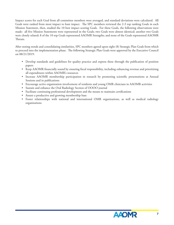Impact scores for each Goal from all committee members were averaged, and standard deviations were calculated. All Goals were ranked from most impact to least impact. The SPC members reviewed the 2-3 top ranking Goals in each Mission Statement, then, studied the 10 best impact scoring Goals. For these Goals, the following observations were made: all five Mission Statements were represented in the Goals; two Goals were almost identical; another two Goals were closely related; 8 of the 10 top Goals represented AAOMR Strengths; and none of the Goals represented AAOMR Threats.

After noting trends and consolidating similarities, SPC members agreed upon eight (8) Strategic Plan Goals from which to proceed into the implementation phase. The following Strategic Plan Goals were approved by the Executive Council on 08/21/2019:

- Develop standards and guidelines for quality practice and express these through the publication of position papers
- Keep AAOMR financially sound by ensuring fiscal responsibility, including enhancing revenue and prioritizing all expenditures within AAOMR's resources
- Increase AAOMR membership participation in research by promoting scientific presentations at Annual Sessions and in publications
- Encourage active organization involvement of residents and young OMR clinicians in AAOMR activities
- Sustain and enhance the Oral Radiology Section of OOOO journal
- Facilitate continuing professional development and the means to maintain certifications
- Assure a productive and growing membership base
- Foster relationships with national and international OMR organizations, as well as medical radiology organizations

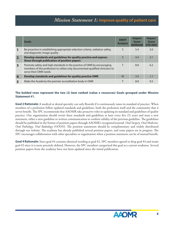## *Mission Statement 1:* **Improve quality of patient care**

|                         | <b>Goals</b>                                                                                                                                                                     | <b>SWOT</b><br><b>Analysis</b> | <b>Impact</b><br><b>Score</b><br><b>AVERAGE</b> | <b>Impact</b><br><b>Score</b><br><b>STD DEV</b> |
|-------------------------|----------------------------------------------------------------------------------------------------------------------------------------------------------------------------------|--------------------------------|-------------------------------------------------|-------------------------------------------------|
|                         | Be proactive in establishing appropriate selection criteria, radiation safety,<br>and diagnostic image quality                                                                   | S                              | 5.4                                             | 3.0                                             |
| $\overline{2}$          | Develop standards and guidelines for quality practice and express<br>these through publication of position papers                                                                | S                              | 4.4                                             | 2.1                                             |
| $\overline{\mathbf{3}}$ | Promote safety and high standards in the practice of OMR by encouraging<br>members of the profession to utilize only documented qualified clinicians to<br>serve their OMR needs |                                | 8.8                                             | 6.2                                             |
| $\overline{4}$          | Develop standards and guidelines for quality practice OMR                                                                                                                        | W                              | 3.4                                             | 1.1                                             |
|                         | Make the Academy the premier accreditation body in OMR                                                                                                                           |                                | 8.8                                             | 9.5                                             |

#### **The bolded rows represent the two (2) best ranked (value x resources) Goals grouped under Mission Statement #1.**

**Goal 2 Rationale:** A medical or dental specialty can only flourish if it continuously raises its standard of practice. When members of a profession follow updated standards and guidelines, both the profession itself and the community that it serves benefit. The SPC recommends that AAOMR take proactive roles in updating its standard and guidelines of quality practice. Our organization should revisit these standards and guidelines at least every five (5) years and issue a new statement, either a new guideline or written communication to confirm validity of the previous guideline. The guidelines should be published in the format of position papers through AAOMR's recognized journal, *Oral Surgery, Oral Medicine, Oral Pathology, Oral Radiology (OOOO)*. The position statements should be complimentary and widely distributed through our website. The academy has already published several position papers, and some papers are in progress. The SPC encourages collaboration with other specialties or organization when a position statement can be of mutual benefit.

**Goal 4 Rationale:** Since goal #4 contains identical wording as goal #2, SPC members agreed to drop goal #4 and retain goal #2 since it is more precisely defined. However, the SPC members categorized this goal as a current weakness. Several position papers from the academy have not been updated since the initial publication.

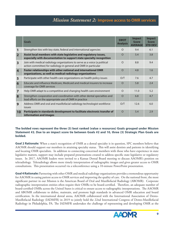### *Mission Statement 2:* **Improve access to OMR services**

|                         | <b>Goals</b>                                                                                                                                   | <b>SWOT</b><br><b>Analysis</b> | <b>Impact</b><br><b>Score</b><br><b>AVERAGE</b> | <b>Impact</b><br><b>Score</b><br><b>STD DEV</b> |
|-------------------------|------------------------------------------------------------------------------------------------------------------------------------------------|--------------------------------|-------------------------------------------------|-------------------------------------------------|
| 1                       | Strengthen ties with key state, federal and international agencies                                                                             | $\Omega$                       | 9.4                                             | 6.1                                             |
| $\overline{2}$          | Assist local members with state legislative and regulatory issues,<br>especially with documentation to support state specialty recognition     | $\Omega$                       | 5.4                                             | 3.8                                             |
| $\overline{\mathbf{3}}$ | Join with medical radiology organizations to serve as a voice (a political<br>action committee) for radiology in general and OMR in particular | $\Omega$                       | 8.8                                             | 9.4                                             |
| $\overline{4}$          | Foster relationships with other national and international OMR<br>organizations, as well as medical radiology organizations                    | $\Omega$                       | 4.8                                             | 1.6                                             |
| 5                       | Participate with other health care organizations on health policy issues                                                                       | O/T                            | 7.6                                             | 4.7                                             |
| 6                       | Educate and influence Medicare, Medicaid and medical insurers to increase<br>coverage for OMR services                                         | $\Omega$                       | 5.8                                             | 2.4                                             |
| $\overline{7}$          | Help OMR adapt to a competitive and changing health care environment                                                                           | $\Omega$                       | 11.0                                            | 5.2                                             |
| 8                       | Strengthen cooperation and coordination with other dental specialties and<br>lead efforts on the appropriate use of OMR in practice            | $\Omega$                       | 6.8                                             | 4.7                                             |
| 9                       | Address OMR and oral and maxillofacial radiology technologist workforce<br>issues                                                              | O/T                            | 12.6                                            | 6.0                                             |
| 10                      | Participate in standards development to facilitate electronic transfer of<br>information and images                                            | $\Omega$                       | 5.4                                             | 2.9                                             |

#### **The bolded rows represent the three (3) best ranked (value x resources) Goals grouped under Mission Statement #2. Due to an impact score tie between Goals #2 and 10, three (3) Strategic Plan Goals are bolded.**

**Goal 2 Rationale:** When a state's recognition of OMR as a dental specialty is in question, SPC members believe that AAOMR should support our members in attaining specialty status. This will assist dentists and patients in identifying and locating OMR specialists. In addition to connecting concerned members with those who have experience in state legislative matters, support may include prepared presentations created to address specific state legislative or regulatory issues. In 2017, AAOMR leaders were invited to a Kansas Dental Board meeting to discuss AAOMR's position on teleradiology. Teleradiology allows more timely interpretation of radiographic images and gives greater access to OMR consultations. This presentation occurred via a teleconference using a 10-minute PowerPoint presentation.

**Goal 4 Rationale:** Partnering with other OMR and medical radiology organizations provides a tremendous opportunity for AAOMR in easing patient access to OMR services and improving the quality of care. On the national front, the most significant partner in our Mission is the American Board of Oral and Maxillofacial Radiology (ABOMR). Corporate radiographic interpretation entities often require their OMRs to be board-certified. Therefore, an adequate number of board-certified OMRs across the United States is critical to ensure access to radiographic interpretations. The AAOMR and ABOMR collaborate to define, maintain, and promote high standards in advanced OMR education and board certification. In the international dental arena, AAOMR collaborated with the International Association of Dento-Maxillofacial Radiology (IADMFR) in 2019 to jointly hold the 22nd International Congress of Dento-Maxillofacial Radiology in Philadelphia, PA. The IADMFR undertakes the challenge of representing and developing OMR at the

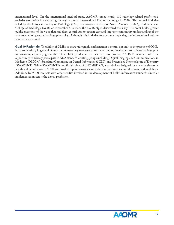international level. On the international medical stage, AAOMR joined nearly 170 radiology-related professional societies worldwide in celebrating the eighth annual International Day of Radiology in 2020. This annual initiative is led by the European Society of Radiology (ESR), Radiological Society of North America (RSNA), and American College of Radiology (ACR) on November 8 to mark the day Röntgen discovered the x-ray. The event builds greater public awareness of the value that radiology contributes to patient care and improves community understanding of the vital role radiologists and radiographers play. Although this initiative focuses on a single day, the informational website is active year-around.

Goal 10 Rationale: The ability of OMRs to share radiographic information is central not only to the practice of OMR, but also dentistry in general. Standards are necessary to ensure unrestricted and optimal access to patients' radiographic information, especially given the COVID-19 pandemic. To facilitate this process, AAOMR members take the opportunity to actively participate in ADA standard-creating groups including Digital Imaging and Communications in Medicine (DICOM), Standards Committee on Dental Informatics (SCDI), and Systemized Nomenclature of Dentistry (SNODENT). While SNODENT is an official subset of SNOMED CT, a vocabulary designed for use with electronic health and dental records, SCDI aims to develop informatics standards, specifications, technical reports, and guidelines. Additionally, SCDI interacts with other entities involved in the development of health informatics standards aimed at implementation across the dental profession.

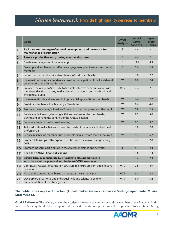## *Mission Statement 3:* **Provide high quality services to members**

|                         | <b>Goals</b>                                                                                                                                                               | <b>SWOT</b><br><b>Analysis</b> | <b>Impact</b><br><b>Score</b><br><b>AVERAGE</b> | <b>Impact</b><br><b>Score</b><br><b>STD DEV</b> |
|-------------------------|----------------------------------------------------------------------------------------------------------------------------------------------------------------------------|--------------------------------|-------------------------------------------------|-------------------------------------------------|
| $\mathbf{1}$            | Facilitate continuing professional development and the means for<br>maintenance of certification                                                                           | S                              | 4.6                                             | 2.1                                             |
| $\overline{\mathbf{2}}$ | Assure a productive and growing membership base                                                                                                                            | S                              | 4.6                                             | 2.1                                             |
| 3                       | Create new categories of membership                                                                                                                                        | S                              | 11.2                                            | 8.3                                             |
| 4                       | Develop and implement an effective engagement plan to retain and recruit<br>members                                                                                        | S                              | 5.0                                             | 2.8                                             |
| 5                       | Refine products and services to enhance AAOMR membership                                                                                                                   | S                              | 7.8                                             | 2.2                                             |
| $6\phantom{1}6$         | Increase international attendance as well as participation of the local dental<br>community at the Annual Sessions                                                         | W                              | 8.0                                             | 2.4                                             |
| $\overline{7}$          | Enhance the Academy's website to facilitate effective communication with<br>members, decision makers, media, dental associations, dental schools and<br>the general public | W/S                            | 7.4                                             | 7.1                                             |
| 8                       | Increase methods and avenues to improve dialogue with the membership                                                                                                       | W                              | 6.4                                             | 2.7                                             |
| 9                       | Sustain and enhance the Academy's Newsletter                                                                                                                               | W                              | 8.6                                             | 4.6                                             |
| 10                      | Promote the Academy's Speakers' Bureau to other disciplines and the public                                                                                                 | W                              | 7.8                                             | 2.3                                             |
| 11                      | Be a leader in life-long-learning activities services for the membership<br>during and beyond the confines of the Annual Session                                           | W                              | 9.2                                             | 3.6                                             |
| 12                      | Become a leader in web-based learning                                                                                                                                      | W                              | 9.2                                             | 9.2                                             |
| 13                      | Tailor educational activities to meet the needs of members and allied health<br>professionals                                                                              | S                              | 7.0                                             | 2.0                                             |
| 14                      | Reduce reliance on member dues by developing alternate revenue sources                                                                                                     | W                              | 9.4                                             | 6.2                                             |
| 15                      | Foster relationships with corporate entities with the aim of strengthening<br><b>OMR</b>                                                                                   | $\Omega$                       | 7.2                                             | 2.8                                             |
| 16                      | Promote industry participation in the AAOMR meetings and activities                                                                                                        | T                              | 5.4                                             | 2.3                                             |
| 17                      | <b>Keep the AAOMR financially sound</b>                                                                                                                                    | S                              | 3.6                                             | 1.3                                             |
| 18                      | Ensure fiscal responsibility by prioritizing all expenditures in<br>accordance with a plan and within the AAOMR's resources                                                | S                              | 4.2                                             | 2.4                                             |
| 19                      | Continually reassess organization structure to ensure efficient and effective<br>operations                                                                                | W/S                            | 7.8                                             | 4.9                                             |
| 20                      | Manage the organization based on tenets of the strategic plan                                                                                                              | W/S                            | 5.8                                             | 2.8                                             |
| 21                      | Develop organizational and individual skills and talents to enable<br>implementation of the strategic plan                                                                 | W/S                            | 6.0                                             | 3.2                                             |

#### **The bolded rows represent the four (4) best ranked (value x resources) Goals grouped under Mission Statement #3.**

Goal 1 Rationale: The primary role of the Academy is to serve the profession and the members of the Academy. In this role, the Academy should identify opportunities for the continuous professional development of its members. During

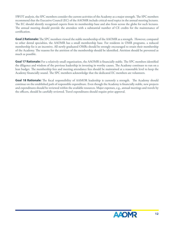SWOT analysis, the SPC members consider the current activities of the Academy as a major strength. The SPC members recommend that the Executive Council (EC) of the AAOMR include critical-need topics in the annual meeting lectures. The EC should identify recognized experts from its membership base and also from across the globe for such lectures. The annual meeting should provide the attendees with a substantial number of CE credits for the maintenance of certification.

**Goal 2 Rationale:** The SPC members viewed the stable membership of the AAOMR as a strength. However, compared to other dental specialties, the AAOMR has a small membership base. For residents in OMR programs, a reduced membership fee is an incentive. All newly graduated OMRs should be strongly encouraged to retain their membership of the Academy. The reasons for the attrition of the membership should be identified. Attrition should be prevented as much as possible.

**Goal 17 Rationale:** For a relatively small organization, the AAOMR is financially stable. The SPC members identified the diligence and wisdom of the previous leadership in investing in worthy causes. The Academy continues to run on a lean budget. The membership fees and meeting attendance fees should be maintained at a reasonable level to keep the Academy financially sound. The SPC members acknowledge that the dedicated EC members are volunteers.

Goal 18 Rationale: The fiscal responsibility of AAMOR leadership is currently a strength. The Academy should continue on the established path of responsible expenditure. Even though the Academy is financially stable, new projects and expenditures should be reviewed within the available resources. Major expenses, e.g., annual meetings and travels by the officers, should be carefully reviewed. Travel expenditures should require prior approval.

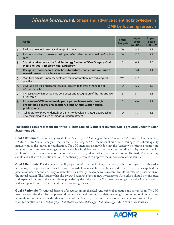## *Mission Statement 4:* Shape and advance scientific knowledge in **OMR by fostering research**

|                         | <b>Goals</b>                                                                                                                                   | <b>SWOT</b><br><b>Analysis</b> | <b>Impact</b><br><b>Score</b><br><b>AVERAGE</b> | <b>Impact</b><br><b>Score</b><br><b>STD DEV</b> |
|-------------------------|------------------------------------------------------------------------------------------------------------------------------------------------|--------------------------------|-------------------------------------------------|-------------------------------------------------|
| 1                       | Evaluate new technology and its applications                                                                                                   | W                              | 14.3                                            | 7.8                                             |
| $\overline{2}$          | Promote studies to measure the impact of standards on the quality of patient<br>care                                                           | W                              | 10.3                                            | 3.2                                             |
| $\overline{\mathbf{3}}$ | Sustain and enhance the Oral Radiology Section of "Oral Surgery, Oral<br>Medicine, Oral Pathology, Oral Radiology"                             | S                              | 4.5                                             | 2.6                                             |
| $\overline{4}$          | Recognize that research is the basis for future practice and continue to<br>reward research excellence at various levels                       | S                              | 5.0                                             | 4.1                                             |
| 5                       | Monitor and assess new technologies for incorporation into radiological<br>practice                                                            | W/S                            | 13.5                                            | 8.7                                             |
| 6                       | Leverage clinical and health services research to increase the scope of<br><b>AAOMR</b> activities                                             | $\Omega$                       | 10.0                                            | 4.2                                             |
| $\overline{ }$          | Increase AAOMR membership awareness and recognition of the importance<br>of research                                                           | $\mathsf{S}$                   | 5.8                                             | 3.3                                             |
| 8                       | Increase AAOMR membership participation in research through<br>promoting scientific presentations at the Annual Session and in<br>publications | $\mathsf{S}$                   | 4.0                                             | 3.2                                             |
| 9                       | Collaborate with other dental specialties to develop a strategic approach for<br>new technologies such as image-guided treatment               | $\Omega$                       | 7.3                                             | 3.6                                             |

#### **The bolded rows represent the three (3) best ranked (value x resources) Goals grouped under Mission Statement #4.**

**Goal 3 Rationale:** The official journal of the Academy is "Oral Surgery, Oral Medicine, Oral Pathology, Oral Radiology *(OOOO).*" In SWOT analysis, the journal is a strength. Our members should be encouraged to submit quality manuscripts to the journal for publication. The SPC members acknowledge that the Academy is creating a mentorship program to nurture new investigators in developing fundable research proposals and writing quality manuscripts for publication. The best reviewers of the journal are currently identified in the annual session. The AAOMR leadership should consult with the section editor in identifying pathways to improve the impact score of the journal.

**Goal 4 Rationale:** For the general public, a picture of a dentist looking at a radiograph is portrayed as cutting-edge technology. This perception is based on truth, as radiology research, both clinical and basic science, has catapulted the practice of medicine and dentistry to newer levels. Currently, the Academy has several awards for research presentations at the annual session. The Academy has also awarded research grants to new investigators. Such efforts should be continued and expanded. Some of these awards are provided by the industry. The SPC members suggest that the Academy solicit wider support from corporate members in promoting research.

Goal 8 Rationale: The Annual Sessions of the Academy are the ideal venues for collaboration and presentation. The SPC members consider the scientific presentations at the annual meeting as a definite strength. Poster and oral presentation hours should not conflict with other activities of the Academy. The presenters should be encouraged to develop their work for publication in *Oral Surgery, Oral Medicine, Oral Pathology, Oral Radiology (OOOO)* or other journals.

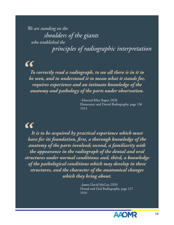*who established the We are standing on the shoulders of the giants principles of radiographic interpretation*

## *"*

*To correctly read a radiograph, to see all there is in it to be seen, and to understand it to mean what it stands for, requires experience and an intimate knowledge of the anatomy and pathology of the parts under observation.*

> ~Howard Riley Raper, DDS Elementary and Dental Radiography, page 136 1913

# $\alpha$

*It is to be acquired by practical experience which must have for its foundation, fi rst, a thorough knowledge of the anatomy of the parts involved; second, a familiarity with the appearance in the radiograph of the dental and oral structures under normal conditions; and, third, a knowledge of the pathological conditions which may develop in these structures, and the character of the anatomical changes which they bring about.*

> ~James David McCoy, DDS Dental and Oral Radiography, page 127 1916

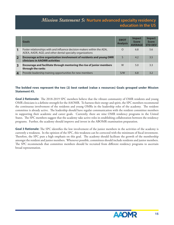## *Mission Statement 5:* **Nurture advanced specialty residency education in the US**

|                         | Goals                                                                                                                                | <b>SWOT</b><br><b>Analysis</b> | <b>Impact</b><br><b>Score</b><br><b>AVERAGE</b> | Impact<br><b>Score</b><br><b>STD DEV</b> |
|-------------------------|--------------------------------------------------------------------------------------------------------------------------------------|--------------------------------|-------------------------------------------------|------------------------------------------|
|                         | Foster relationships with and influence decision-makers within the ADA,<br>ADEA, AADR, AGD, and other dental specialty organizations | $\circ$                        | 6.8                                             | 5.6                                      |
| $\overline{\mathbf{2}}$ | Encourage active organization involvement of residents and young OMR<br><b>clinicians in AAOMR activities</b>                        | S                              | 4.2                                             | 3.5                                      |
| 3                       | Encourage and facilitate through mentoring the rise of junior members<br>through the ranks                                           | W                              | 5.0                                             | 3.3                                      |
| $\overline{\mathbf{4}}$ | Provide leadership training opportunities for new members                                                                            | S/W                            | 6.8                                             | 3.2                                      |

#### **The bolded rows represent the two (2) best ranked (value x resources) Goals grouped under Mission Statement #5.**

Goal 2 Rationale: The 2018-2019 SPC members believe that the vibrant community of OMR residents and young OMR clinicians is a definite strength for the AAOMR. To harness their energy and spirit, the SPC members recommend the continuous involvement of the residents and young OMRs in the leadership roles of the academy. The resident committee is already active. The leadership should have regular communication with the resident committee members in supporting their academic and career goals. Currently, there are nine OMR residency programs in the United States. The SPC members suggest that the academy take active roles in establishing collaboration between the residency programs. Further, the academy should improve and invest in the ABOMR examination preparation.

**Goal 3 Rationale:** The SPC identifies the low involvement of the junior members in the activities of the academy is currently a weakness. In the opinion of the SPC, this weakness can be corrected with the minimum of fiscal investment. Therefore, the SPC puts a high emphasis on this goal. The academy should facilitate the growth of the membership amongst the resident and junior members. Whenever possible, committees should include residents and junior members. The SPC recommends that committee members should be recruited from different residency programs to ascertain broad representation.

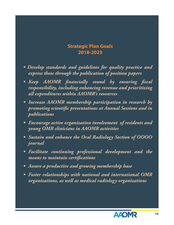## **Strategic Plan Goals 2018-2023**

- *Develop standards and guidelines for quality practice and express these through the publication of position papers*
- Keep AAOMR financially sound by ensuring fiscal *responsibility, including enhancing revenue and prioritizing all expenditures within AAOMR's resources*
- *Increase AAOMR membership participation in research by*  promoting scientific presentations at Annual Sessions and in *publications*
- *Encourage active organization involvement of residents and young OMR clinicians in AAOMR activities*
- *Sustain and enhance the Oral Radiology Section of OOOO journal*
- *Facilitate continuing professional development and the means to maintain certifi cations*
- *Assure a productive and growing membership base*
- *Foster relationships with national and international OMR organizations, as well as medical radiology organizations*

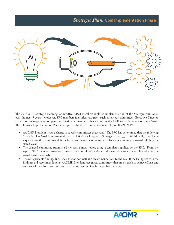## *Strategic Plan:* **Goal Implementation Phase**



The 2018-2019 Strategic Planning Committee (SPC) members explored implementation of the Strategic Plan Goals over the next 5 years. Moreover, SPC members identified resources, such as various committees, Executive Director, association management company, and AAOMR members, that can optimally facilitate achievement of these Goals. The following Implementation Plan was approved by the Executive Council (EC) on 08/21/2019:

- AAOMR President issues a charge to specific committees that states, "The SPC has determined that the following Strategic Plan Goal is an essential part of AAOMR's long-term Strategic Plan: \_\_." Additionally, the charge requests that the committee defines  $1-$ ,  $3-$ , and  $5$ -year actions and establishes measurements toward fulfilling the stated Goal.
- The charged committee submits a brief semi-annual report using a template supplied by the SPC. From the report, SPC members assess outcome of the committee's actions and measurements to determine whether the stated Goal is attainable.
- The SPC presents findings (i.e. Goals met or not met) and recommendations to the EC. If the EC agrees with the findings and recommendations, AAOMR President recognizes committees that are on track to achieve Goals and engages with chairs of committees that are not meeting Goals for problem solving.

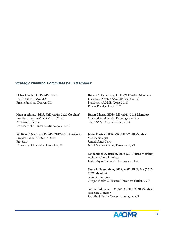#### **Strategic Planning Committee (SPC) Members:**

**Debra Gander, DDS, MS (Chair)** Past-President, AAOMR Private Practice, Denver, CO

**Mansur Ahmad, BDS, PhD (2018-2020 Co-chair)** 

President-Elect, AAOMR (2018-2019) Associate Professor University of Minnesota, Minneapolis, MN

#### **William C. Scarfe, BDS, MS (2017-2018 Co-chair)**

President, AAOMR (2018-2019) Professor University of Louisville, Louisville, KY **Robert A. Cederberg, DDS (2017-2020 Member)** Executive Director, AAOMR (2015-2017) President, AAOMR (2013-2014) Private Practice, Dallas, TX

**Karan Dharia, BDSc, MS (2017-2018 Member)** Oral and Maxillofacial Pathology Resident Texas A&M University, Dallas, TX

**Jenna Fewins, DDS, MS (2017-2018 Member)** Staff Radiologist United States Navy Naval Medical Center, Portsmouth, VA

**Mohammed A. Husain, DDS (2017-2018 Member)** Assistant Clinical Professor University of California, Los Angeles, CA

**Saulo L. Sousa Melo, DDS, MSD, PhD, MS (2017- 2020 Member)** Assistant Professor Oregon Health & Science University, Portland, OR

**Aditya Tadinada, BDS, MSD (2017-2020 Member)** Associate Professor UCONN Health Center, Farmington, CT